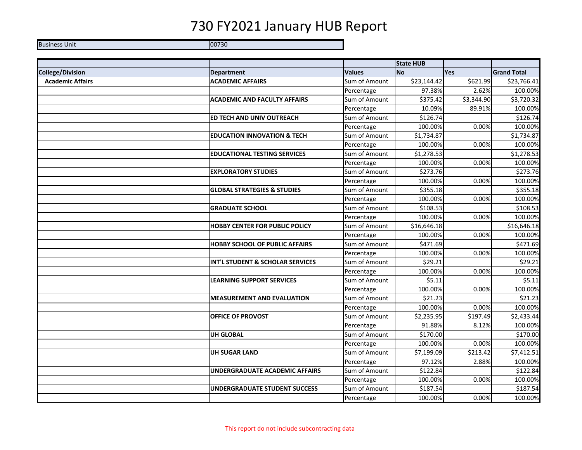Business Unit 00730

|                         |                                        |               | <b>State HUB</b> |            |                    |
|-------------------------|----------------------------------------|---------------|------------------|------------|--------------------|
| <b>College/Division</b> | <b>Department</b>                      | <b>Values</b> | <b>No</b>        | Yes        | <b>Grand Total</b> |
| <b>Academic Affairs</b> | <b>ACADEMIC AFFAIRS</b>                | Sum of Amount | \$23,144.42      | \$621.99   | \$23,766.41        |
|                         |                                        | Percentage    | 97.38%           | 2.62%      | 100.00%            |
|                         | <b>ACADEMIC AND FACULTY AFFAIRS</b>    | Sum of Amount | \$375.42         | \$3,344.90 | \$3,720.32         |
|                         |                                        | Percentage    | 10.09%           | 89.91%     | 100.00%            |
|                         | ED TECH AND UNIV OUTREACH              | Sum of Amount | \$126.74         |            | \$126.74           |
|                         |                                        | Percentage    | 100.00%          | 0.00%      | 100.00%            |
|                         | <b>EDUCATION INNOVATION &amp; TECH</b> | Sum of Amount | \$1,734.87       |            | \$1,734.87         |
|                         |                                        | Percentage    | 100.00%          | 0.00%      | 100.00%            |
|                         | <b>EDUCATIONAL TESTING SERVICES</b>    | Sum of Amount | \$1,278.53       |            | \$1,278.53         |
|                         |                                        | Percentage    | 100.00%          | 0.00%      | 100.00%            |
|                         | <b>EXPLORATORY STUDIES</b>             | Sum of Amount | \$273.76         |            | \$273.76           |
|                         |                                        | Percentage    | 100.00%          | 0.00%      | 100.00%            |
|                         | <b>GLOBAL STRATEGIES &amp; STUDIES</b> | Sum of Amount | \$355.18         |            | \$355.18           |
|                         |                                        | Percentage    | 100.00%          | 0.00%      | 100.00%            |
|                         | <b>GRADUATE SCHOOL</b>                 | Sum of Amount | \$108.53         |            | \$108.53           |
|                         |                                        | Percentage    | 100.00%          | 0.00%      | 100.00%            |
|                         | <b>HOBBY CENTER FOR PUBLIC POLICY</b>  | Sum of Amount | \$16,646.18      |            | \$16,646.18        |
|                         |                                        | Percentage    | 100.00%          | 0.00%      | 100.00%            |
|                         | <b>HOBBY SCHOOL OF PUBLIC AFFAIRS</b>  | Sum of Amount | \$471.69         |            | \$471.69           |
|                         |                                        | Percentage    | 100.00%          | 0.00%      | 100.00%            |
|                         | INT'L STUDENT & SCHOLAR SERVICES       | Sum of Amount | \$29.21          |            | \$29.21            |
|                         |                                        | Percentage    | 100.00%          | 0.00%      | 100.00%            |
|                         | <b>LEARNING SUPPORT SERVICES</b>       | Sum of Amount | \$5.11           |            | \$5.11             |
|                         |                                        | Percentage    | 100.00%          | 0.00%      | 100.00%            |
|                         | <b>MEASUREMENT AND EVALUATION</b>      | Sum of Amount | \$21.23          |            | \$21.23            |
|                         |                                        | Percentage    | 100.00%          | 0.00%      | 100.00%            |
|                         | <b>OFFICE OF PROVOST</b>               | Sum of Amount | \$2,235.95       | \$197.49   | \$2,433.44         |
|                         |                                        | Percentage    | 91.88%           | 8.12%      | 100.00%            |
|                         | <b>UH GLOBAL</b>                       | Sum of Amount | \$170.00         |            | \$170.00           |
|                         |                                        | Percentage    | 100.00%          | 0.00%      | 100.00%            |
|                         | <b>UH SUGAR LAND</b>                   | Sum of Amount | \$7,199.09       | \$213.42   | \$7,412.51         |
|                         |                                        | Percentage    | 97.12%           | 2.88%      | 100.00%            |
|                         | <b>UNDERGRADUATE ACADEMIC AFFAIRS</b>  | Sum of Amount | \$122.84         |            | \$122.84           |
|                         |                                        | Percentage    | 100.00%          | 0.00%      | 100.00%            |
|                         | <b>UNDERGRADUATE STUDENT SUCCESS</b>   | Sum of Amount | \$187.54         |            | \$187.54           |
|                         |                                        | Percentage    | 100.00%          | 0.00%      | 100.00%            |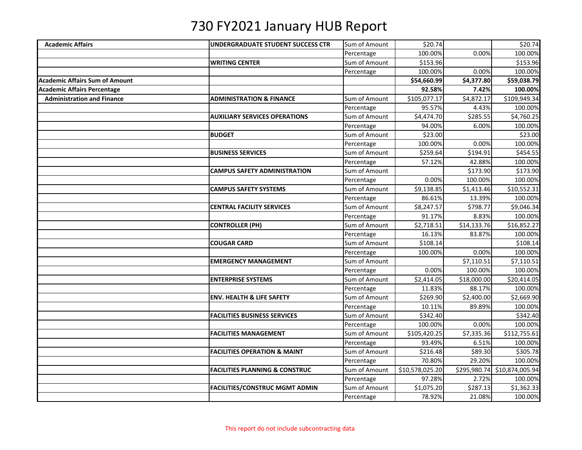| <b>Academic Affairs</b><br>Sum of Amount<br>\$20.74<br>\$20.74<br>UNDERGRADUATE STUDENT SUCCESS CTR<br>100.00%<br>0.00%<br>100.00%<br>Percentage<br>\$153.96<br>\$153.96<br><b>WRITING CENTER</b><br>Sum of Amount<br>100.00%<br>0.00%<br>100.00%<br>Percentage<br>\$54,660.99<br>\$4,377.80<br>\$59,038.79<br><b>Academic Affairs Sum of Amount</b><br><b>Academic Affairs Percentage</b><br>92.58%<br>7.42%<br>100.00%<br>\$105,077.17<br>\$4,872.17<br>\$109,949.34<br><b>Administration and Finance</b><br>Sum of Amount<br><b>ADMINISTRATION &amp; FINANCE</b><br>95.57%<br>4.43%<br>100.00%<br>Percentage<br>Sum of Amount<br>\$4,474.70<br>\$285.55<br>\$4,760.25<br><b>AUXILIARY SERVICES OPERATIONS</b><br>94.00%<br>100.00%<br>Percentage<br>6.00%<br>\$23.00<br>\$23.00<br><b>BUDGET</b><br>Sum of Amount<br>100.00%<br>0.00%<br>100.00%<br>Percentage<br>\$454.55<br>Sum of Amount<br>\$259.64<br>\$194.91<br><b>BUSINESS SERVICES</b><br>42.88%<br>Percentage<br>57.12%<br>100.00%<br><b>CAMPUS SAFETY ADMINISTRATION</b><br>Sum of Amount<br>\$173.90<br>\$173.90<br>0.00%<br>100.00%<br>100.00%<br>Percentage<br>\$9,138.85<br>\$10,552.31<br><b>CAMPUS SAFETY SYSTEMS</b><br>Sum of Amount<br>\$1,413.46<br>86.61%<br>100.00%<br>Percentage<br>13.39%<br><b>CENTRAL FACILITY SERVICES</b><br>Sum of Amount<br>\$8,247.57<br>\$798.77<br>\$9,046.34<br>100.00%<br>Percentage<br>91.17%<br>8.83%<br>Sum of Amount<br>\$2,718.51<br>\$14,133.76<br>\$16,852.27<br><b>CONTROLLER (PH)</b><br>16.13%<br>83.87%<br>100.00%<br>Percentage<br>\$108.14<br>Sum of Amount<br>\$108.14<br><b>COUGAR CARD</b><br>100.00%<br>0.00%<br>100.00%<br>Percentage<br><b>EMERGENCY MANAGEMENT</b><br>Sum of Amount<br>\$7,110.51<br>\$7,110.51<br>Percentage<br>100.00%<br>100.00%<br>0.00%<br><b>ENTERPRISE SYSTEMS</b><br>Sum of Amount<br>\$2,414.05<br>\$18,000.00<br>\$20,414.05<br>100.00%<br>Percentage<br>11.83%<br>88.17%<br><b>ENV. HEALTH &amp; LIFE SAFETY</b><br>Sum of Amount<br>\$269.90<br>\$2,400.00<br>\$2,669.90<br>10.11%<br>89.89%<br>100.00%<br>Percentage<br>\$342.40<br>\$342.40<br><b>FACILITIES BUSINESS SERVICES</b><br>Sum of Amount<br>0.00%<br>100.00%<br>Percentage<br>100.00%<br><b>FACILITIES MANAGEMENT</b><br>Sum of Amount<br>\$105,420.25<br>\$7,335.36<br>\$112,755.61<br>6.51%<br>100.00%<br>93.49%<br>Percentage<br>Sum of Amount<br><b>FACILITIES OPERATION &amp; MAINT</b><br>\$216.48<br>\$89.30<br>\$305.78<br>29.20%<br>70.80%<br>100.00%<br>Percentage<br>Sum of Amount<br>\$295,980.74 \$10,874,005.94<br><b>FACILITIES PLANNING &amp; CONSTRUC</b><br>\$10,578,025.20<br>97.28%<br>Percentage<br>2.72%<br>100.00%<br>\$1,075.20<br>\$287.13<br>\$1,362.33<br><b>FACILITIES/CONSTRUC MGMT ADMIN</b><br>Sum of Amount<br>78.92%<br>100.00%<br>Percentage<br>21.08% |  |  |  |
|--------------------------------------------------------------------------------------------------------------------------------------------------------------------------------------------------------------------------------------------------------------------------------------------------------------------------------------------------------------------------------------------------------------------------------------------------------------------------------------------------------------------------------------------------------------------------------------------------------------------------------------------------------------------------------------------------------------------------------------------------------------------------------------------------------------------------------------------------------------------------------------------------------------------------------------------------------------------------------------------------------------------------------------------------------------------------------------------------------------------------------------------------------------------------------------------------------------------------------------------------------------------------------------------------------------------------------------------------------------------------------------------------------------------------------------------------------------------------------------------------------------------------------------------------------------------------------------------------------------------------------------------------------------------------------------------------------------------------------------------------------------------------------------------------------------------------------------------------------------------------------------------------------------------------------------------------------------------------------------------------------------------------------------------------------------------------------------------------------------------------------------------------------------------------------------------------------------------------------------------------------------------------------------------------------------------------------------------------------------------------------------------------------------------------------------------------------------------------------------------------------------------------------------------------------------------------------------------------------------------------------------------------------------------------------------------------------------------------------------------------------------------------------------------------------------|--|--|--|
|                                                                                                                                                                                                                                                                                                                                                                                                                                                                                                                                                                                                                                                                                                                                                                                                                                                                                                                                                                                                                                                                                                                                                                                                                                                                                                                                                                                                                                                                                                                                                                                                                                                                                                                                                                                                                                                                                                                                                                                                                                                                                                                                                                                                                                                                                                                                                                                                                                                                                                                                                                                                                                                                                                                                                                                                              |  |  |  |
|                                                                                                                                                                                                                                                                                                                                                                                                                                                                                                                                                                                                                                                                                                                                                                                                                                                                                                                                                                                                                                                                                                                                                                                                                                                                                                                                                                                                                                                                                                                                                                                                                                                                                                                                                                                                                                                                                                                                                                                                                                                                                                                                                                                                                                                                                                                                                                                                                                                                                                                                                                                                                                                                                                                                                                                                              |  |  |  |
|                                                                                                                                                                                                                                                                                                                                                                                                                                                                                                                                                                                                                                                                                                                                                                                                                                                                                                                                                                                                                                                                                                                                                                                                                                                                                                                                                                                                                                                                                                                                                                                                                                                                                                                                                                                                                                                                                                                                                                                                                                                                                                                                                                                                                                                                                                                                                                                                                                                                                                                                                                                                                                                                                                                                                                                                              |  |  |  |
|                                                                                                                                                                                                                                                                                                                                                                                                                                                                                                                                                                                                                                                                                                                                                                                                                                                                                                                                                                                                                                                                                                                                                                                                                                                                                                                                                                                                                                                                                                                                                                                                                                                                                                                                                                                                                                                                                                                                                                                                                                                                                                                                                                                                                                                                                                                                                                                                                                                                                                                                                                                                                                                                                                                                                                                                              |  |  |  |
|                                                                                                                                                                                                                                                                                                                                                                                                                                                                                                                                                                                                                                                                                                                                                                                                                                                                                                                                                                                                                                                                                                                                                                                                                                                                                                                                                                                                                                                                                                                                                                                                                                                                                                                                                                                                                                                                                                                                                                                                                                                                                                                                                                                                                                                                                                                                                                                                                                                                                                                                                                                                                                                                                                                                                                                                              |  |  |  |
|                                                                                                                                                                                                                                                                                                                                                                                                                                                                                                                                                                                                                                                                                                                                                                                                                                                                                                                                                                                                                                                                                                                                                                                                                                                                                                                                                                                                                                                                                                                                                                                                                                                                                                                                                                                                                                                                                                                                                                                                                                                                                                                                                                                                                                                                                                                                                                                                                                                                                                                                                                                                                                                                                                                                                                                                              |  |  |  |
|                                                                                                                                                                                                                                                                                                                                                                                                                                                                                                                                                                                                                                                                                                                                                                                                                                                                                                                                                                                                                                                                                                                                                                                                                                                                                                                                                                                                                                                                                                                                                                                                                                                                                                                                                                                                                                                                                                                                                                                                                                                                                                                                                                                                                                                                                                                                                                                                                                                                                                                                                                                                                                                                                                                                                                                                              |  |  |  |
|                                                                                                                                                                                                                                                                                                                                                                                                                                                                                                                                                                                                                                                                                                                                                                                                                                                                                                                                                                                                                                                                                                                                                                                                                                                                                                                                                                                                                                                                                                                                                                                                                                                                                                                                                                                                                                                                                                                                                                                                                                                                                                                                                                                                                                                                                                                                                                                                                                                                                                                                                                                                                                                                                                                                                                                                              |  |  |  |
|                                                                                                                                                                                                                                                                                                                                                                                                                                                                                                                                                                                                                                                                                                                                                                                                                                                                                                                                                                                                                                                                                                                                                                                                                                                                                                                                                                                                                                                                                                                                                                                                                                                                                                                                                                                                                                                                                                                                                                                                                                                                                                                                                                                                                                                                                                                                                                                                                                                                                                                                                                                                                                                                                                                                                                                                              |  |  |  |
|                                                                                                                                                                                                                                                                                                                                                                                                                                                                                                                                                                                                                                                                                                                                                                                                                                                                                                                                                                                                                                                                                                                                                                                                                                                                                                                                                                                                                                                                                                                                                                                                                                                                                                                                                                                                                                                                                                                                                                                                                                                                                                                                                                                                                                                                                                                                                                                                                                                                                                                                                                                                                                                                                                                                                                                                              |  |  |  |
|                                                                                                                                                                                                                                                                                                                                                                                                                                                                                                                                                                                                                                                                                                                                                                                                                                                                                                                                                                                                                                                                                                                                                                                                                                                                                                                                                                                                                                                                                                                                                                                                                                                                                                                                                                                                                                                                                                                                                                                                                                                                                                                                                                                                                                                                                                                                                                                                                                                                                                                                                                                                                                                                                                                                                                                                              |  |  |  |
|                                                                                                                                                                                                                                                                                                                                                                                                                                                                                                                                                                                                                                                                                                                                                                                                                                                                                                                                                                                                                                                                                                                                                                                                                                                                                                                                                                                                                                                                                                                                                                                                                                                                                                                                                                                                                                                                                                                                                                                                                                                                                                                                                                                                                                                                                                                                                                                                                                                                                                                                                                                                                                                                                                                                                                                                              |  |  |  |
|                                                                                                                                                                                                                                                                                                                                                                                                                                                                                                                                                                                                                                                                                                                                                                                                                                                                                                                                                                                                                                                                                                                                                                                                                                                                                                                                                                                                                                                                                                                                                                                                                                                                                                                                                                                                                                                                                                                                                                                                                                                                                                                                                                                                                                                                                                                                                                                                                                                                                                                                                                                                                                                                                                                                                                                                              |  |  |  |
|                                                                                                                                                                                                                                                                                                                                                                                                                                                                                                                                                                                                                                                                                                                                                                                                                                                                                                                                                                                                                                                                                                                                                                                                                                                                                                                                                                                                                                                                                                                                                                                                                                                                                                                                                                                                                                                                                                                                                                                                                                                                                                                                                                                                                                                                                                                                                                                                                                                                                                                                                                                                                                                                                                                                                                                                              |  |  |  |
|                                                                                                                                                                                                                                                                                                                                                                                                                                                                                                                                                                                                                                                                                                                                                                                                                                                                                                                                                                                                                                                                                                                                                                                                                                                                                                                                                                                                                                                                                                                                                                                                                                                                                                                                                                                                                                                                                                                                                                                                                                                                                                                                                                                                                                                                                                                                                                                                                                                                                                                                                                                                                                                                                                                                                                                                              |  |  |  |
|                                                                                                                                                                                                                                                                                                                                                                                                                                                                                                                                                                                                                                                                                                                                                                                                                                                                                                                                                                                                                                                                                                                                                                                                                                                                                                                                                                                                                                                                                                                                                                                                                                                                                                                                                                                                                                                                                                                                                                                                                                                                                                                                                                                                                                                                                                                                                                                                                                                                                                                                                                                                                                                                                                                                                                                                              |  |  |  |
|                                                                                                                                                                                                                                                                                                                                                                                                                                                                                                                                                                                                                                                                                                                                                                                                                                                                                                                                                                                                                                                                                                                                                                                                                                                                                                                                                                                                                                                                                                                                                                                                                                                                                                                                                                                                                                                                                                                                                                                                                                                                                                                                                                                                                                                                                                                                                                                                                                                                                                                                                                                                                                                                                                                                                                                                              |  |  |  |
|                                                                                                                                                                                                                                                                                                                                                                                                                                                                                                                                                                                                                                                                                                                                                                                                                                                                                                                                                                                                                                                                                                                                                                                                                                                                                                                                                                                                                                                                                                                                                                                                                                                                                                                                                                                                                                                                                                                                                                                                                                                                                                                                                                                                                                                                                                                                                                                                                                                                                                                                                                                                                                                                                                                                                                                                              |  |  |  |
|                                                                                                                                                                                                                                                                                                                                                                                                                                                                                                                                                                                                                                                                                                                                                                                                                                                                                                                                                                                                                                                                                                                                                                                                                                                                                                                                                                                                                                                                                                                                                                                                                                                                                                                                                                                                                                                                                                                                                                                                                                                                                                                                                                                                                                                                                                                                                                                                                                                                                                                                                                                                                                                                                                                                                                                                              |  |  |  |
|                                                                                                                                                                                                                                                                                                                                                                                                                                                                                                                                                                                                                                                                                                                                                                                                                                                                                                                                                                                                                                                                                                                                                                                                                                                                                                                                                                                                                                                                                                                                                                                                                                                                                                                                                                                                                                                                                                                                                                                                                                                                                                                                                                                                                                                                                                                                                                                                                                                                                                                                                                                                                                                                                                                                                                                                              |  |  |  |
|                                                                                                                                                                                                                                                                                                                                                                                                                                                                                                                                                                                                                                                                                                                                                                                                                                                                                                                                                                                                                                                                                                                                                                                                                                                                                                                                                                                                                                                                                                                                                                                                                                                                                                                                                                                                                                                                                                                                                                                                                                                                                                                                                                                                                                                                                                                                                                                                                                                                                                                                                                                                                                                                                                                                                                                                              |  |  |  |
|                                                                                                                                                                                                                                                                                                                                                                                                                                                                                                                                                                                                                                                                                                                                                                                                                                                                                                                                                                                                                                                                                                                                                                                                                                                                                                                                                                                                                                                                                                                                                                                                                                                                                                                                                                                                                                                                                                                                                                                                                                                                                                                                                                                                                                                                                                                                                                                                                                                                                                                                                                                                                                                                                                                                                                                                              |  |  |  |
|                                                                                                                                                                                                                                                                                                                                                                                                                                                                                                                                                                                                                                                                                                                                                                                                                                                                                                                                                                                                                                                                                                                                                                                                                                                                                                                                                                                                                                                                                                                                                                                                                                                                                                                                                                                                                                                                                                                                                                                                                                                                                                                                                                                                                                                                                                                                                                                                                                                                                                                                                                                                                                                                                                                                                                                                              |  |  |  |
|                                                                                                                                                                                                                                                                                                                                                                                                                                                                                                                                                                                                                                                                                                                                                                                                                                                                                                                                                                                                                                                                                                                                                                                                                                                                                                                                                                                                                                                                                                                                                                                                                                                                                                                                                                                                                                                                                                                                                                                                                                                                                                                                                                                                                                                                                                                                                                                                                                                                                                                                                                                                                                                                                                                                                                                                              |  |  |  |
|                                                                                                                                                                                                                                                                                                                                                                                                                                                                                                                                                                                                                                                                                                                                                                                                                                                                                                                                                                                                                                                                                                                                                                                                                                                                                                                                                                                                                                                                                                                                                                                                                                                                                                                                                                                                                                                                                                                                                                                                                                                                                                                                                                                                                                                                                                                                                                                                                                                                                                                                                                                                                                                                                                                                                                                                              |  |  |  |
|                                                                                                                                                                                                                                                                                                                                                                                                                                                                                                                                                                                                                                                                                                                                                                                                                                                                                                                                                                                                                                                                                                                                                                                                                                                                                                                                                                                                                                                                                                                                                                                                                                                                                                                                                                                                                                                                                                                                                                                                                                                                                                                                                                                                                                                                                                                                                                                                                                                                                                                                                                                                                                                                                                                                                                                                              |  |  |  |
|                                                                                                                                                                                                                                                                                                                                                                                                                                                                                                                                                                                                                                                                                                                                                                                                                                                                                                                                                                                                                                                                                                                                                                                                                                                                                                                                                                                                                                                                                                                                                                                                                                                                                                                                                                                                                                                                                                                                                                                                                                                                                                                                                                                                                                                                                                                                                                                                                                                                                                                                                                                                                                                                                                                                                                                                              |  |  |  |
|                                                                                                                                                                                                                                                                                                                                                                                                                                                                                                                                                                                                                                                                                                                                                                                                                                                                                                                                                                                                                                                                                                                                                                                                                                                                                                                                                                                                                                                                                                                                                                                                                                                                                                                                                                                                                                                                                                                                                                                                                                                                                                                                                                                                                                                                                                                                                                                                                                                                                                                                                                                                                                                                                                                                                                                                              |  |  |  |
|                                                                                                                                                                                                                                                                                                                                                                                                                                                                                                                                                                                                                                                                                                                                                                                                                                                                                                                                                                                                                                                                                                                                                                                                                                                                                                                                                                                                                                                                                                                                                                                                                                                                                                                                                                                                                                                                                                                                                                                                                                                                                                                                                                                                                                                                                                                                                                                                                                                                                                                                                                                                                                                                                                                                                                                                              |  |  |  |
|                                                                                                                                                                                                                                                                                                                                                                                                                                                                                                                                                                                                                                                                                                                                                                                                                                                                                                                                                                                                                                                                                                                                                                                                                                                                                                                                                                                                                                                                                                                                                                                                                                                                                                                                                                                                                                                                                                                                                                                                                                                                                                                                                                                                                                                                                                                                                                                                                                                                                                                                                                                                                                                                                                                                                                                                              |  |  |  |
|                                                                                                                                                                                                                                                                                                                                                                                                                                                                                                                                                                                                                                                                                                                                                                                                                                                                                                                                                                                                                                                                                                                                                                                                                                                                                                                                                                                                                                                                                                                                                                                                                                                                                                                                                                                                                                                                                                                                                                                                                                                                                                                                                                                                                                                                                                                                                                                                                                                                                                                                                                                                                                                                                                                                                                                                              |  |  |  |
|                                                                                                                                                                                                                                                                                                                                                                                                                                                                                                                                                                                                                                                                                                                                                                                                                                                                                                                                                                                                                                                                                                                                                                                                                                                                                                                                                                                                                                                                                                                                                                                                                                                                                                                                                                                                                                                                                                                                                                                                                                                                                                                                                                                                                                                                                                                                                                                                                                                                                                                                                                                                                                                                                                                                                                                                              |  |  |  |
|                                                                                                                                                                                                                                                                                                                                                                                                                                                                                                                                                                                                                                                                                                                                                                                                                                                                                                                                                                                                                                                                                                                                                                                                                                                                                                                                                                                                                                                                                                                                                                                                                                                                                                                                                                                                                                                                                                                                                                                                                                                                                                                                                                                                                                                                                                                                                                                                                                                                                                                                                                                                                                                                                                                                                                                                              |  |  |  |
|                                                                                                                                                                                                                                                                                                                                                                                                                                                                                                                                                                                                                                                                                                                                                                                                                                                                                                                                                                                                                                                                                                                                                                                                                                                                                                                                                                                                                                                                                                                                                                                                                                                                                                                                                                                                                                                                                                                                                                                                                                                                                                                                                                                                                                                                                                                                                                                                                                                                                                                                                                                                                                                                                                                                                                                                              |  |  |  |
|                                                                                                                                                                                                                                                                                                                                                                                                                                                                                                                                                                                                                                                                                                                                                                                                                                                                                                                                                                                                                                                                                                                                                                                                                                                                                                                                                                                                                                                                                                                                                                                                                                                                                                                                                                                                                                                                                                                                                                                                                                                                                                                                                                                                                                                                                                                                                                                                                                                                                                                                                                                                                                                                                                                                                                                                              |  |  |  |
|                                                                                                                                                                                                                                                                                                                                                                                                                                                                                                                                                                                                                                                                                                                                                                                                                                                                                                                                                                                                                                                                                                                                                                                                                                                                                                                                                                                                                                                                                                                                                                                                                                                                                                                                                                                                                                                                                                                                                                                                                                                                                                                                                                                                                                                                                                                                                                                                                                                                                                                                                                                                                                                                                                                                                                                                              |  |  |  |
|                                                                                                                                                                                                                                                                                                                                                                                                                                                                                                                                                                                                                                                                                                                                                                                                                                                                                                                                                                                                                                                                                                                                                                                                                                                                                                                                                                                                                                                                                                                                                                                                                                                                                                                                                                                                                                                                                                                                                                                                                                                                                                                                                                                                                                                                                                                                                                                                                                                                                                                                                                                                                                                                                                                                                                                                              |  |  |  |
|                                                                                                                                                                                                                                                                                                                                                                                                                                                                                                                                                                                                                                                                                                                                                                                                                                                                                                                                                                                                                                                                                                                                                                                                                                                                                                                                                                                                                                                                                                                                                                                                                                                                                                                                                                                                                                                                                                                                                                                                                                                                                                                                                                                                                                                                                                                                                                                                                                                                                                                                                                                                                                                                                                                                                                                                              |  |  |  |
|                                                                                                                                                                                                                                                                                                                                                                                                                                                                                                                                                                                                                                                                                                                                                                                                                                                                                                                                                                                                                                                                                                                                                                                                                                                                                                                                                                                                                                                                                                                                                                                                                                                                                                                                                                                                                                                                                                                                                                                                                                                                                                                                                                                                                                                                                                                                                                                                                                                                                                                                                                                                                                                                                                                                                                                                              |  |  |  |
|                                                                                                                                                                                                                                                                                                                                                                                                                                                                                                                                                                                                                                                                                                                                                                                                                                                                                                                                                                                                                                                                                                                                                                                                                                                                                                                                                                                                                                                                                                                                                                                                                                                                                                                                                                                                                                                                                                                                                                                                                                                                                                                                                                                                                                                                                                                                                                                                                                                                                                                                                                                                                                                                                                                                                                                                              |  |  |  |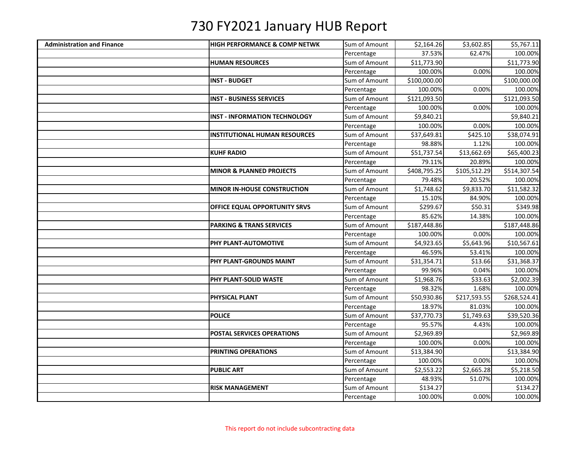| <b>Administration and Finance</b> | <b>HIGH PERFORMANCE &amp; COMP NETWK</b> | Sum of Amount | \$2,164.26   | \$3,602.85   | \$5,767.11   |
|-----------------------------------|------------------------------------------|---------------|--------------|--------------|--------------|
|                                   |                                          | Percentage    | 37.53%       | 62.47%       | 100.00%      |
|                                   | <b>HUMAN RESOURCES</b>                   | Sum of Amount | \$11,773.90  |              | \$11,773.90  |
|                                   |                                          | Percentage    | 100.00%      | 0.00%        | 100.00%      |
|                                   | <b>INST - BUDGET</b>                     | Sum of Amount | \$100,000.00 |              | \$100,000.00 |
|                                   |                                          | Percentage    | 100.00%      | 0.00%        | 100.00%      |
|                                   | <b>INST - BUSINESS SERVICES</b>          | Sum of Amount | \$121,093.50 |              | \$121,093.50 |
|                                   |                                          | Percentage    | 100.00%      | 0.00%        | 100.00%      |
|                                   | <b>INST - INFORMATION TECHNOLOGY</b>     | Sum of Amount | \$9,840.21   |              | \$9,840.21   |
|                                   |                                          | Percentage    | 100.00%      | 0.00%        | 100.00%      |
|                                   | <b>INSTITUTIONAL HUMAN RESOURCES</b>     | Sum of Amount | \$37,649.81  | \$425.10     | \$38,074.91  |
|                                   |                                          | Percentage    | 98.88%       | 1.12%        | 100.00%      |
|                                   | <b>KUHF RADIO</b>                        | Sum of Amount | \$51,737.54  | \$13,662.69  | \$65,400.23  |
|                                   |                                          | Percentage    | 79.11%       | 20.89%       | 100.00%      |
|                                   | <b>MINOR &amp; PLANNED PROJECTS</b>      | Sum of Amount | \$408,795.25 | \$105,512.29 | \$514,307.54 |
|                                   |                                          | Percentage    | 79.48%       | 20.52%       | 100.00%      |
|                                   | <b>MINOR IN-HOUSE CONSTRUCTION</b>       | Sum of Amount | \$1,748.62   | \$9,833.70   | \$11,582.32  |
|                                   |                                          | Percentage    | 15.10%       | 84.90%       | 100.00%      |
|                                   | <b>OFFICE EQUAL OPPORTUNITY SRVS</b>     | Sum of Amount | \$299.67     | \$50.31      | \$349.98     |
|                                   |                                          | Percentage    | 85.62%       | 14.38%       | 100.00%      |
|                                   | <b>PARKING &amp; TRANS SERVICES</b>      | Sum of Amount | \$187,448.86 |              | \$187,448.86 |
|                                   |                                          | Percentage    | 100.00%      | 0.00%        | 100.00%      |
|                                   | PHY PLANT-AUTOMOTIVE                     | Sum of Amount | \$4,923.65   | \$5,643.96   | \$10,567.61  |
|                                   |                                          | Percentage    | 46.59%       | 53.41%       | 100.00%      |
|                                   | PHY PLANT-GROUNDS MAINT                  | Sum of Amount | \$31,354.71  | \$13.66      | \$31,368.37  |
|                                   |                                          | Percentage    | 99.96%       | 0.04%        | 100.00%      |
|                                   | PHY PLANT-SOLID WASTE                    | Sum of Amount | \$1,968.76   | \$33.63      | \$2,002.39   |
|                                   |                                          | Percentage    | 98.32%       | 1.68%        | 100.00%      |
|                                   | PHYSICAL PLANT                           | Sum of Amount | \$50,930.86  | \$217,593.55 | \$268,524.41 |
|                                   |                                          | Percentage    | 18.97%       | 81.03%       | 100.00%      |
|                                   | <b>POLICE</b>                            | Sum of Amount | \$37,770.73  | \$1,749.63   | \$39,520.36  |
|                                   |                                          | Percentage    | 95.57%       | 4.43%        | 100.00%      |
|                                   | <b>POSTAL SERVICES OPERATIONS</b>        | Sum of Amount | \$2,969.89   |              | \$2,969.89   |
|                                   |                                          | Percentage    | 100.00%      | 0.00%        | 100.00%      |
|                                   | PRINTING OPERATIONS                      | Sum of Amount | \$13,384.90  |              | \$13,384.90  |
|                                   |                                          | Percentage    | 100.00%      | 0.00%        | 100.00%      |
|                                   | <b>PUBLIC ART</b>                        | Sum of Amount | \$2,553.22   | \$2,665.28   | \$5,218.50   |
|                                   |                                          | Percentage    | 48.93%       | 51.07%       | 100.00%      |
|                                   | <b>RISK MANAGEMENT</b>                   | Sum of Amount | \$134.27     |              | \$134.27     |
|                                   |                                          | Percentage    | 100.00%      | 0.00%        | 100.00%      |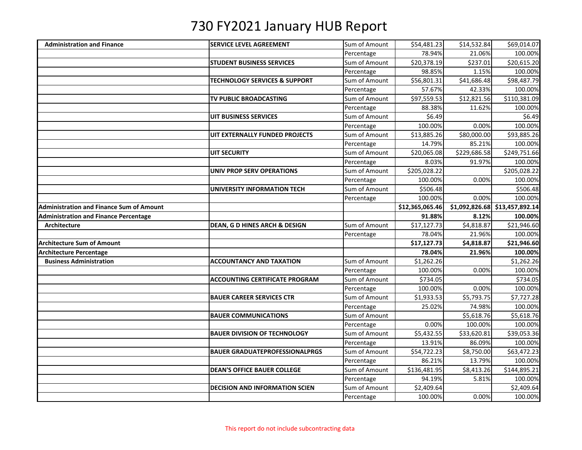| <b>Administration and Finance</b>               | <b>SERVICE LEVEL AGREEMENT</b>           | Sum of Amount               | \$54,481.23           | \$14,532.84  | \$69,014.07                    |
|-------------------------------------------------|------------------------------------------|-----------------------------|-----------------------|--------------|--------------------------------|
|                                                 |                                          | Percentage                  | 78.94%                | 21.06%       | 100.00%                        |
|                                                 | <b>STUDENT BUSINESS SERVICES</b>         | Sum of Amount               | \$20,378.19           | \$237.01     | \$20,615.20                    |
|                                                 |                                          | Percentage                  | 98.85%                | 1.15%        | 100.00%                        |
|                                                 | <b>TECHNOLOGY SERVICES &amp; SUPPORT</b> | Sum of Amount               | \$56,801.31           | \$41,686.48  | \$98,487.79                    |
|                                                 |                                          | Percentage                  | 57.67%                | 42.33%       | 100.00%                        |
|                                                 | TV PUBLIC BROADCASTING                   | Sum of Amount               | \$97,559.53           | \$12,821.56  | \$110,381.09                   |
|                                                 |                                          | Percentage                  | 88.38%                | 11.62%       | 100.00%                        |
|                                                 | UIT BUSINESS SERVICES                    | Sum of Amount               | \$6.49                |              | \$6.49                         |
|                                                 |                                          | Percentage                  | 100.00%               | 0.00%        | 100.00%                        |
|                                                 | UIT EXTERNALLY FUNDED PROJECTS           | Sum of Amount               | \$13,885.26           | \$80,000.00  | \$93,885.26                    |
|                                                 |                                          | Percentage                  | 14.79%                | 85.21%       | 100.00%                        |
|                                                 | <b>UIT SECURITY</b>                      | Sum of Amount               | \$20,065.08           | \$229,686.58 | \$249,751.66                   |
|                                                 |                                          | Percentage                  | 8.03%                 | 91.97%       | 100.00%                        |
|                                                 | <b>UNIV PROP SERV OPERATIONS</b>         | Sum of Amount               | \$205,028.22          |              | \$205,028.22                   |
|                                                 |                                          | Percentage                  | 100.00%               | 0.00%        | 100.00%                        |
|                                                 | UNIVERSITY INFORMATION TECH              | Sum of Amount               | \$506.48              |              | \$506.48                       |
|                                                 |                                          | Percentage                  | 100.00%               | 0.00%        | 100.00%                        |
| <b>Administration and Finance Sum of Amount</b> |                                          |                             | \$12,365,065.46       |              | \$1,092,826.68 \$13,457,892.14 |
| <b>Administration and Finance Percentage</b>    |                                          |                             | 91.88%                | 8.12%        | 100.00%                        |
| Architecture                                    | DEAN, G D HINES ARCH & DESIGN            | Sum of Amount               | \$17,127.73           | \$4,818.87   | \$21,946.60                    |
|                                                 |                                          | Percentage                  | 78.04%                | 21.96%       | 100.00%                        |
| <b>Architecture Sum of Amount</b>               |                                          |                             | \$17,127.73           | \$4,818.87   | \$21,946.60                    |
| <b>Architecture Percentage</b>                  |                                          |                             | 78.04%                | 21.96%       | 100.00%                        |
| <b>Business Administration</b>                  | <b>ACCOUNTANCY AND TAXATION</b>          | Sum of Amount               | \$1,262.26            |              | \$1,262.26                     |
|                                                 |                                          | Percentage                  | 100.00%               | 0.00%        | 100.00%                        |
|                                                 | <b>ACCOUNTING CERTIFICATE PROGRAM</b>    |                             |                       |              |                                |
|                                                 |                                          | Sum of Amount               | \$734.05              |              | \$734.05                       |
|                                                 |                                          | Percentage                  | 100.00%               | 0.00%        | 100.00%                        |
|                                                 | <b>BAUER CAREER SERVICES CTR</b>         | Sum of Amount               | \$1,933.53            | \$5,793.75   | \$7,727.28                     |
|                                                 |                                          | Percentage                  | 25.02%                | 74.98%       | 100.00%                        |
|                                                 | <b>BAUER COMMUNICATIONS</b>              | Sum of Amount               |                       | \$5,618.76   | \$5,618.76                     |
|                                                 |                                          | Percentage                  | 0.00%                 | 100.00%      | 100.00%                        |
|                                                 | <b>BAUER DIVISION OF TECHNOLOGY</b>      | Sum of Amount               | \$5,432.55            | \$33,620.81  | \$39,053.36                    |
|                                                 |                                          | Percentage                  | 13.91%                | 86.09%       | 100.00%                        |
|                                                 | <b>BAUER GRADUATEPROFESSIONALPRGS</b>    | Sum of Amount               | \$54,722.23           | \$8,750.00   | \$63,472.23                    |
|                                                 |                                          | Percentage                  | 86.21%                | 13.79%       | 100.00%                        |
|                                                 | <b>DEAN'S OFFICE BAUER COLLEGE</b>       | Sum of Amount               | \$136,481.95          | \$8,413.26   | \$144,895.21                   |
|                                                 |                                          | Percentage                  | 94.19%                | 5.81%        | 100.00%                        |
|                                                 | <b>DECISION AND INFORMATION SCIEN</b>    | Sum of Amount<br>Percentage | \$2,409.64<br>100.00% | 0.00%        | \$2,409.64<br>100.00%          |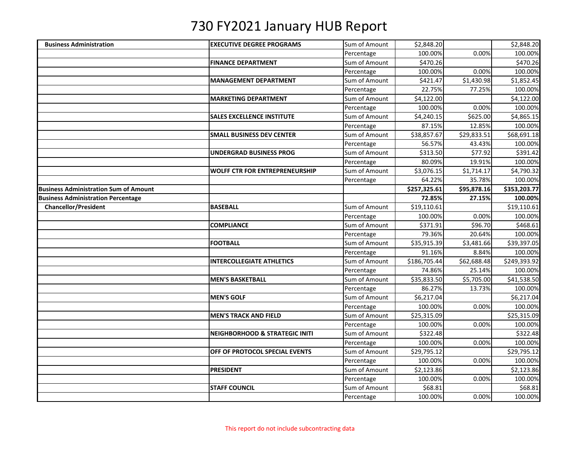| <b>Business Administration</b>               | <b>EXECUTIVE DEGREE PROGRAMS</b>          | Sum of Amount | \$2,848.20   |                         | \$2,848.20   |
|----------------------------------------------|-------------------------------------------|---------------|--------------|-------------------------|--------------|
|                                              |                                           | Percentage    | 100.00%      | 0.00%                   | 100.00%      |
|                                              | <b>FINANCE DEPARTMENT</b>                 | Sum of Amount | \$470.26     |                         | \$470.26     |
|                                              |                                           | Percentage    | 100.00%      | 0.00%                   | 100.00%      |
|                                              | <b>MANAGEMENT DEPARTMENT</b>              | Sum of Amount | \$421.47     | \$1,430.98              | \$1,852.45   |
|                                              |                                           | Percentage    | 22.75%       | 77.25%                  | 100.00%      |
|                                              | <b>MARKETING DEPARTMENT</b>               | Sum of Amount | \$4,122.00   |                         | \$4,122.00   |
|                                              |                                           | Percentage    | 100.00%      | 0.00%                   | 100.00%      |
|                                              | <b>SALES EXCELLENCE INSTITUTE</b>         | Sum of Amount | \$4,240.15   | \$625.00                | \$4,865.15   |
|                                              |                                           | Percentage    | 87.15%       | 12.85%                  | 100.00%      |
|                                              | <b>SMALL BUSINESS DEV CENTER</b>          | Sum of Amount | \$38,857.67  | $\overline{$}29,833.51$ | \$68,691.18  |
|                                              |                                           | Percentage    | 56.57%       | 43.43%                  | 100.00%      |
|                                              | UNDERGRAD BUSINESS PROG                   | Sum of Amount | \$313.50     | \$77.92                 | \$391.42     |
|                                              |                                           | Percentage    | 80.09%       | 19.91%                  | 100.00%      |
|                                              | <b>WOLFF CTR FOR ENTREPRENEURSHIP</b>     | Sum of Amount | \$3,076.15   | \$1,714.17              | \$4,790.32   |
|                                              |                                           | Percentage    | 64.22%       | 35.78%                  | 100.00%      |
| <b>Business Administration Sum of Amount</b> |                                           |               | \$257,325.61 | \$95,878.16             | \$353,203.77 |
| <b>Business Administration Percentage</b>    |                                           |               | 72.85%       | 27.15%                  | 100.00%      |
| <b>Chancellor/President</b>                  | <b>BASEBALL</b>                           | Sum of Amount | \$19,110.61  |                         | \$19,110.61  |
|                                              |                                           | Percentage    | 100.00%      | 0.00%                   | 100.00%      |
|                                              | <b>COMPLIANCE</b>                         | Sum of Amount | \$371.91     | \$96.70                 | \$468.61     |
|                                              |                                           | Percentage    | 79.36%       | 20.64%                  | 100.00%      |
|                                              | <b>FOOTBALL</b>                           | Sum of Amount | \$35,915.39  | \$3,481.66              | \$39,397.05  |
|                                              |                                           | Percentage    | 91.16%       | 8.84%                   | 100.00%      |
|                                              | <b>INTERCOLLEGIATE ATHLETICS</b>          | Sum of Amount | \$186,705.44 | \$62,688.48             | \$249,393.92 |
|                                              |                                           | Percentage    | 74.86%       | 25.14%                  | 100.00%      |
|                                              | <b>MEN'S BASKETBALL</b>                   | Sum of Amount | \$35,833.50  | \$5,705.00              | \$41,538.50  |
|                                              |                                           | Percentage    | 86.27%       | 13.73%                  | 100.00%      |
|                                              | <b>MEN'S GOLF</b>                         | Sum of Amount | \$6,217.04   |                         | \$6,217.04   |
|                                              |                                           | Percentage    | 100.00%      | 0.00%                   | 100.00%      |
|                                              | <b>MEN'S TRACK AND FIELD</b>              | Sum of Amount | \$25,315.09  |                         | \$25,315.09  |
|                                              |                                           | Percentage    | 100.00%      | 0.00%                   | 100.00%      |
|                                              | <b>NEIGHBORHOOD &amp; STRATEGIC INITI</b> | Sum of Amount | \$322.48     |                         | \$322.48     |
|                                              |                                           | Percentage    | 100.00%      | 0.00%                   | 100.00%      |
|                                              | OFF OF PROTOCOL SPECIAL EVENTS            | Sum of Amount | \$29,795.12  |                         | \$29,795.12  |
|                                              |                                           | Percentage    | 100.00%      | 0.00%                   | 100.00%      |
|                                              | <b>PRESIDENT</b>                          | Sum of Amount | \$2,123.86   |                         | \$2,123.86   |
|                                              |                                           | Percentage    | 100.00%      | 0.00%                   | 100.00%      |
|                                              | <b>STAFF COUNCIL</b>                      | Sum of Amount | \$68.81      |                         | \$68.81      |
|                                              |                                           | Percentage    | 100.00%      | 0.00%                   | 100.00%      |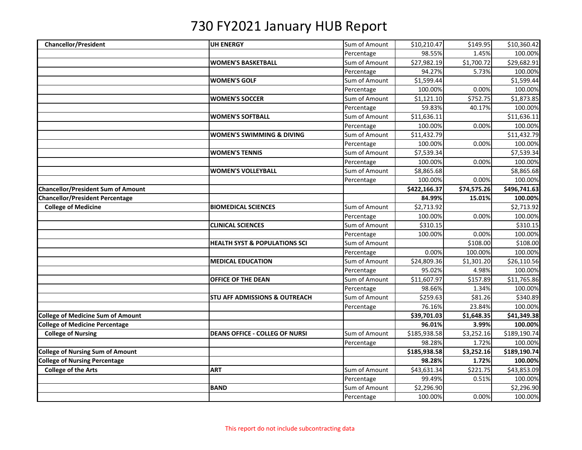| <b>Chancellor/President</b>               | <b>UH ENERGY</b>                         | Sum of Amount | \$10,210.47  | \$149.95    | \$10,360.42  |
|-------------------------------------------|------------------------------------------|---------------|--------------|-------------|--------------|
|                                           |                                          | Percentage    | 98.55%       | 1.45%       | 100.00%      |
|                                           | <b>WOMEN'S BASKETBALL</b>                | Sum of Amount | \$27,982.19  | \$1,700.72  | \$29,682.91  |
|                                           |                                          | Percentage    | 94.27%       | 5.73%       | 100.00%      |
|                                           | <b>WOMEN'S GOLF</b>                      | Sum of Amount | \$1,599.44   |             | \$1,599.44   |
|                                           |                                          | Percentage    | 100.00%      | 0.00%       | 100.00%      |
|                                           | <b>WOMEN'S SOCCER</b>                    | Sum of Amount | \$1,121.10   | \$752.75    | \$1,873.85   |
|                                           |                                          | Percentage    | 59.83%       | 40.17%      | 100.00%      |
|                                           | <b>WOMEN'S SOFTBALL</b>                  | Sum of Amount | \$11,636.11  |             | \$11,636.11  |
|                                           |                                          | Percentage    | 100.00%      | 0.00%       | 100.00%      |
|                                           | <b>WOMEN'S SWIMMING &amp; DIVING</b>     | Sum of Amount | \$11,432.79  |             | \$11,432.79  |
|                                           |                                          | Percentage    | 100.00%      | 0.00%       | 100.00%      |
|                                           | <b>WOMEN'S TENNIS</b>                    | Sum of Amount | \$7,539.34   |             | \$7,539.34   |
|                                           |                                          | Percentage    | 100.00%      | 0.00%       | 100.00%      |
|                                           | <b>WOMEN'S VOLLEYBALL</b>                | Sum of Amount | \$8,865.68   |             | \$8,865.68   |
|                                           |                                          | Percentage    | 100.00%      | 0.00%       | 100.00%      |
| <b>Chancellor/President Sum of Amount</b> |                                          |               | \$422,166.37 | \$74,575.26 | \$496,741.63 |
| Chancellor/President Percentage           |                                          |               | 84.99%       | 15.01%      | 100.00%      |
| <b>College of Medicine</b>                | <b>BIOMEDICAL SCIENCES</b>               | Sum of Amount | \$2,713.92   |             | \$2,713.92   |
|                                           |                                          | Percentage    | 100.00%      | 0.00%       | 100.00%      |
|                                           | <b>CLINICAL SCIENCES</b>                 | Sum of Amount | \$310.15     |             | \$310.15     |
|                                           |                                          | Percentage    | 100.00%      | 0.00%       | 100.00%      |
|                                           | <b>HEALTH SYST &amp; POPULATIONS SCI</b> | Sum of Amount |              | \$108.00    | \$108.00     |
|                                           |                                          | Percentage    | 0.00%        | 100.00%     | 100.00%      |
|                                           | <b>MEDICAL EDUCATION</b>                 | Sum of Amount | \$24,809.36  | \$1,301.20  | \$26,110.56  |
|                                           |                                          | Percentage    | 95.02%       | 4.98%       | 100.00%      |
|                                           | OFFICE OF THE DEAN                       | Sum of Amount | \$11,607.97  | \$157.89    | \$11,765.86  |
|                                           |                                          | Percentage    | 98.66%       | 1.34%       | 100.00%      |
|                                           | <b>STU AFF ADMISSIONS &amp; OUTREACH</b> | Sum of Amount | \$259.63     | \$81.26     | \$340.89     |
|                                           |                                          | Percentage    | 76.16%       | 23.84%      | 100.00%      |
| <b>College of Medicine Sum of Amount</b>  |                                          |               | \$39,701.03  | \$1,648.35  | \$41,349.38  |
| <b>College of Medicine Percentage</b>     |                                          |               | 96.01%       | 3.99%       | 100.00%      |
| <b>College of Nursing</b>                 | <b>DEANS OFFICE - COLLEG OF NURSI</b>    | Sum of Amount | \$185,938.58 | \$3,252.16  | \$189,190.74 |
|                                           |                                          | Percentage    | 98.28%       | 1.72%       | 100.00%      |
| <b>College of Nursing Sum of Amount</b>   |                                          |               | \$185,938.58 | \$3,252.16  | \$189,190.74 |
| <b>College of Nursing Percentage</b>      |                                          |               | 98.28%       | 1.72%       | 100.00%      |
| <b>College of the Arts</b>                | <b>ART</b>                               | Sum of Amount | \$43,631.34  | \$221.75    | \$43,853.09  |
|                                           |                                          | Percentage    | 99.49%       | 0.51%       | 100.00%      |
|                                           | <b>BAND</b>                              | Sum of Amount | \$2,296.90   |             | \$2,296.90   |
|                                           |                                          | Percentage    | 100.00%      | 0.00%       | 100.00%      |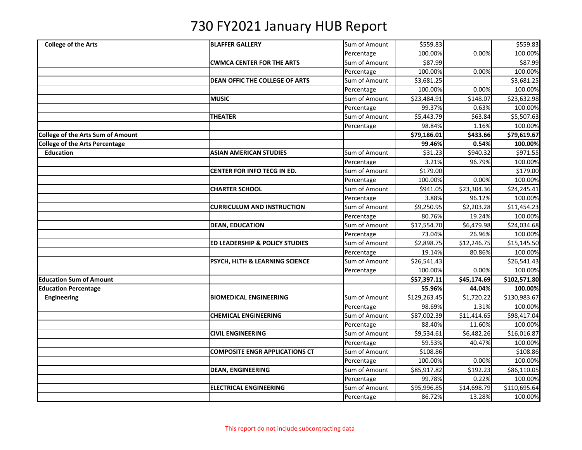| <b>College of the Arts</b>               | <b>BLAFFER GALLERY</b>                    | Sum of Amount | \$559.83     |             | \$559.83     |
|------------------------------------------|-------------------------------------------|---------------|--------------|-------------|--------------|
|                                          |                                           | Percentage    | 100.00%      | 0.00%       | 100.00%      |
|                                          | <b>CWMCA CENTER FOR THE ARTS</b>          | Sum of Amount | \$87.99      |             | \$87.99      |
|                                          |                                           | Percentage    | 100.00%      | 0.00%       | 100.00%      |
|                                          | <b>DEAN OFFIC THE COLLEGE OF ARTS</b>     | Sum of Amount | \$3,681.25   |             | \$3,681.25   |
|                                          |                                           | Percentage    | 100.00%      | 0.00%       | 100.00%      |
|                                          | <b>MUSIC</b>                              | Sum of Amount | \$23,484.91  | \$148.07    | \$23,632.98  |
|                                          |                                           | Percentage    | 99.37%       | 0.63%       | 100.00%      |
|                                          | <b>THEATER</b>                            | Sum of Amount | \$5,443.79   | \$63.84     | \$5,507.63   |
|                                          |                                           | Percentage    | 98.84%       | 1.16%       | 100.00%      |
| <b>College of the Arts Sum of Amount</b> |                                           |               | \$79,186.01  | \$433.66    | \$79,619.67  |
| <b>College of the Arts Percentage</b>    |                                           |               | 99.46%       | 0.54%       | 100.00%      |
| <b>Education</b>                         | <b>ASIAN AMERICAN STUDIES</b>             | Sum of Amount | \$31.23      | \$940.32    | \$971.55     |
|                                          |                                           | Percentage    | 3.21%        | 96.79%      | 100.00%      |
|                                          | CENTER FOR INFO TECG IN ED.               | Sum of Amount | \$179.00     |             | \$179.00     |
|                                          |                                           | Percentage    | 100.00%      | 0.00%       | 100.00%      |
|                                          | <b>CHARTER SCHOOL</b>                     | Sum of Amount | \$941.05     | \$23,304.36 | \$24,245.41  |
|                                          |                                           | Percentage    | 3.88%        | 96.12%      | 100.00%      |
|                                          | <b>CURRICULUM AND INSTRUCTION</b>         | Sum of Amount | \$9,250.95   | \$2,203.28  | \$11,454.23  |
|                                          |                                           | Percentage    | 80.76%       | 19.24%      | 100.00%      |
|                                          | <b>DEAN, EDUCATION</b>                    | Sum of Amount | \$17,554.70  | \$6,479.98  | \$24,034.68  |
|                                          |                                           | Percentage    | 73.04%       | 26.96%      | 100.00%      |
|                                          | <b>ED LEADERSHIP &amp; POLICY STUDIES</b> | Sum of Amount | \$2,898.75   | \$12,246.75 | \$15,145.50  |
|                                          |                                           | Percentage    | 19.14%       | 80.86%      | 100.00%      |
|                                          | PSYCH, HLTH & LEARNING SCIENCE            | Sum of Amount | \$26,541.43  |             | \$26,541.43  |
|                                          |                                           | Percentage    | 100.00%      | 0.00%       | 100.00%      |
| <b>Education Sum of Amount</b>           |                                           |               | \$57,397.11  | \$45,174.69 | \$102,571.80 |
| <b>Education Percentage</b>              |                                           |               | 55.96%       | 44.04%      | 100.00%      |
| Engineering                              | <b>BIOMEDICAL ENGINEERING</b>             | Sum of Amount | \$129,263.45 | \$1,720.22  | \$130,983.67 |
|                                          |                                           | Percentage    | 98.69%       | 1.31%       | 100.00%      |
|                                          | <b>CHEMICAL ENGINEERING</b>               | Sum of Amount | \$87,002.39  | \$11,414.65 | \$98,417.04  |
|                                          |                                           | Percentage    | 88.40%       | 11.60%      | 100.00%      |
|                                          | <b>CIVIL ENGINEERING</b>                  | Sum of Amount | \$9,534.61   | \$6,482.26  | \$16,016.87  |
|                                          |                                           | Percentage    | 59.53%       | 40.47%      | 100.00%      |
|                                          | <b>COMPOSITE ENGR APPLICATIONS CT</b>     | Sum of Amount | \$108.86     |             | \$108.86     |
|                                          |                                           | Percentage    | 100.00%      | 0.00%       | 100.00%      |
|                                          | <b>DEAN, ENGINEERING</b>                  | Sum of Amount | \$85,917.82  | \$192.23    | \$86,110.05  |
|                                          |                                           | Percentage    | 99.78%       | 0.22%       | 100.00%      |
|                                          | <b>ELECTRICAL ENGINEERING</b>             | Sum of Amount | \$95,996.85  | \$14,698.79 | \$110,695.64 |
|                                          |                                           | Percentage    | 86.72%       | 13.28%      | 100.00%      |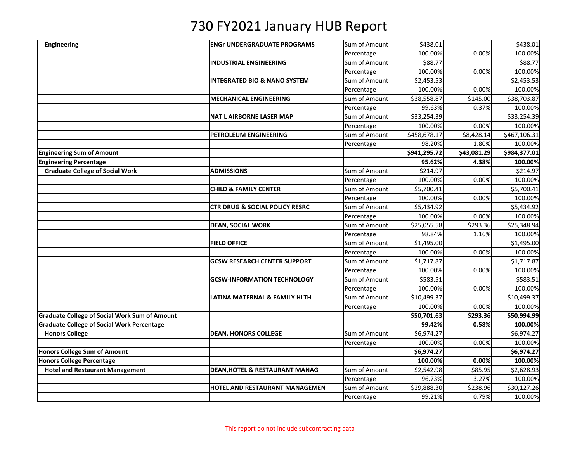| Engineering                                          | <b>ENGr UNDERGRADUATE PROGRAMS</b>        | Sum of Amount | \$438.01     |             | \$438.01     |
|------------------------------------------------------|-------------------------------------------|---------------|--------------|-------------|--------------|
|                                                      |                                           | Percentage    | 100.00%      | 0.00%       | 100.00%      |
|                                                      | <b>INDUSTRIAL ENGINEERING</b>             | Sum of Amount | \$88.77      |             | \$88.77      |
|                                                      |                                           | Percentage    | 100.00%      | 0.00%       | 100.00%      |
|                                                      | <b>INTEGRATED BIO &amp; NANO SYSTEM</b>   | Sum of Amount | \$2,453.53   |             | \$2,453.53   |
|                                                      |                                           | Percentage    | 100.00%      | 0.00%       | 100.00%      |
|                                                      | <b>MECHANICAL ENGINEERING</b>             | Sum of Amount | \$38,558.87  | \$145.00    | \$38,703.87  |
|                                                      |                                           | Percentage    | 99.63%       | 0.37%       | 100.00%      |
|                                                      | <b>NAT'L AIRBORNE LASER MAP</b>           | Sum of Amount | \$33,254.39  |             | \$33,254.39  |
|                                                      |                                           | Percentage    | 100.00%      | 0.00%       | 100.00%      |
|                                                      | PETROLEUM ENGINEERING                     | Sum of Amount | \$458,678.17 | \$8,428.14  | \$467,106.31 |
|                                                      |                                           | Percentage    | 98.20%       | 1.80%       | 100.00%      |
| <b>Engineering Sum of Amount</b>                     |                                           |               | \$941,295.72 | \$43,081.29 | \$984,377.01 |
| <b>Engineering Percentage</b>                        |                                           |               | 95.62%       | 4.38%       | 100.00%      |
| <b>Graduate College of Social Work</b>               | <b>ADMISSIONS</b>                         | Sum of Amount | \$214.97     |             | \$214.97     |
|                                                      |                                           | Percentage    | 100.00%      | 0.00%       | 100.00%      |
|                                                      | <b>CHILD &amp; FAMILY CENTER</b>          | Sum of Amount | \$5,700.41   |             | \$5,700.41   |
|                                                      |                                           | Percentage    | 100.00%      | 0.00%       | 100.00%      |
|                                                      | <b>CTR DRUG &amp; SOCIAL POLICY RESRC</b> | Sum of Amount | \$5,434.92   |             | \$5,434.92   |
|                                                      |                                           | Percentage    | 100.00%      | 0.00%       | 100.00%      |
|                                                      | <b>DEAN, SOCIAL WORK</b>                  | Sum of Amount | \$25,055.58  | \$293.36    | \$25,348.94  |
|                                                      |                                           | Percentage    | 98.84%       | 1.16%       | 100.00%      |
|                                                      | <b>FIELD OFFICE</b>                       | Sum of Amount | \$1,495.00   |             | \$1,495.00   |
|                                                      |                                           | Percentage    | 100.00%      | 0.00%       | 100.00%      |
|                                                      | <b>GCSW RESEARCH CENTER SUPPORT</b>       | Sum of Amount | \$1,717.87   |             | \$1,717.87   |
|                                                      |                                           | Percentage    | 100.00%      | 0.00%       | 100.00%      |
|                                                      | <b>GCSW-INFORMATION TECHNOLOGY</b>        | Sum of Amount | \$583.51     |             | \$583.51     |
|                                                      |                                           | Percentage    | 100.00%      | 0.00%       | 100.00%      |
|                                                      | LATINA MATERNAL & FAMILY HLTH             | Sum of Amount | \$10,499.37  |             | \$10,499.37  |
|                                                      |                                           | Percentage    | 100.00%      | 0.00%       | 100.00%      |
| <b>Graduate College of Social Work Sum of Amount</b> |                                           |               | \$50,701.63  | \$293.36    | \$50,994.99  |
| <b>Graduate College of Social Work Percentage</b>    |                                           |               | 99.42%       | 0.58%       | 100.00%      |
| <b>Honors College</b>                                | <b>DEAN, HONORS COLLEGE</b>               | Sum of Amount | \$6,974.27   |             | \$6,974.27   |
|                                                      |                                           | Percentage    | 100.00%      | 0.00%       | 100.00%      |
| <b>Honors College Sum of Amount</b>                  |                                           |               | \$6,974.27   |             | \$6,974.27   |
| <b>Honors College Percentage</b>                     |                                           |               | 100.00%      | 0.00%       | 100.00%      |
| <b>Hotel and Restaurant Management</b>               | <b>DEAN, HOTEL &amp; RESTAURANT MANAG</b> | Sum of Amount | \$2,542.98   | \$85.95     | \$2,628.93   |
|                                                      |                                           | Percentage    | 96.73%       | 3.27%       | 100.00%      |
|                                                      | HOTEL AND RESTAURANT MANAGEMEN            | Sum of Amount | \$29,888.30  | \$238.96    | \$30,127.26  |
|                                                      |                                           | Percentage    | 99.21%       | 0.79%       | 100.00%      |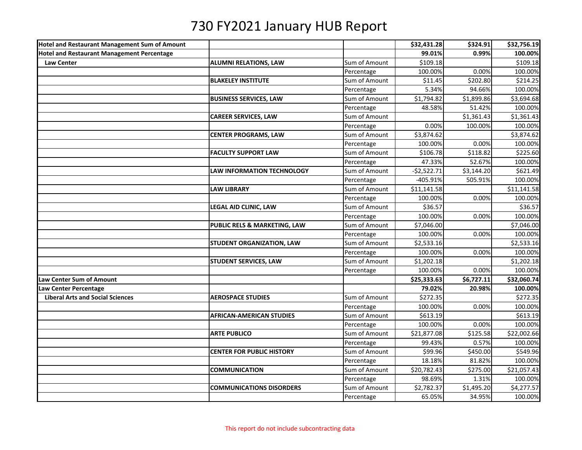| Hotel and Restaurant Management Sum of Amount     |                                         |               | \$32,431.28  | \$324.91   | \$32,756.19 |
|---------------------------------------------------|-----------------------------------------|---------------|--------------|------------|-------------|
| <b>Hotel and Restaurant Management Percentage</b> |                                         |               | 99.01%       | 0.99%      | 100.00%     |
| <b>Law Center</b>                                 | <b>ALUMNI RELATIONS, LAW</b>            | Sum of Amount | \$109.18     |            | \$109.18    |
|                                                   |                                         | Percentage    | 100.00%      | 0.00%      | 100.00%     |
|                                                   | <b>BLAKELEY INSTITUTE</b>               | Sum of Amount | \$11.45      | \$202.80   | \$214.25    |
|                                                   |                                         | Percentage    | 5.34%        | 94.66%     | 100.00%     |
|                                                   | <b>BUSINESS SERVICES, LAW</b>           | Sum of Amount | \$1,794.82   | \$1,899.86 | \$3,694.68  |
|                                                   |                                         | Percentage    | 48.58%       | 51.42%     | 100.00%     |
|                                                   | <b>CAREER SERVICES, LAW</b>             | Sum of Amount |              | \$1,361.43 | \$1,361.43  |
|                                                   |                                         | Percentage    | 0.00%        | 100.00%    | 100.00%     |
|                                                   | <b>CENTER PROGRAMS, LAW</b>             | Sum of Amount | \$3,874.62   |            | \$3,874.62  |
|                                                   |                                         | Percentage    | 100.00%      | 0.00%      | 100.00%     |
|                                                   | <b>FACULTY SUPPORT LAW</b>              | Sum of Amount | \$106.78     | \$118.82   | \$225.60    |
|                                                   |                                         | Percentage    | 47.33%       | 52.67%     | 100.00%     |
|                                                   | <b>LAW INFORMATION TECHNOLOGY</b>       | Sum of Amount | $-52,522.71$ | \$3,144.20 | \$621.49    |
|                                                   |                                         | Percentage    | -405.91%     | 505.91%    | 100.00%     |
|                                                   | <b>LAW LIBRARY</b>                      | Sum of Amount | \$11,141.58  |            | \$11,141.58 |
|                                                   |                                         | Percentage    | 100.00%      | 0.00%      | 100.00%     |
|                                                   | <b>LEGAL AID CLINIC, LAW</b>            | Sum of Amount | \$36.57      |            | \$36.57     |
|                                                   |                                         | Percentage    | 100.00%      | 0.00%      | 100.00%     |
|                                                   | <b>PUBLIC RELS &amp; MARKETING, LAW</b> | Sum of Amount | \$7,046.00   |            | \$7,046.00  |
|                                                   |                                         | Percentage    | 100.00%      | 0.00%      | 100.00%     |
|                                                   | <b>STUDENT ORGANIZATION, LAW</b>        | Sum of Amount | \$2,533.16   |            | \$2,533.16  |
|                                                   |                                         | Percentage    | 100.00%      | 0.00%      | 100.00%     |
|                                                   | <b>STUDENT SERVICES, LAW</b>            | Sum of Amount | \$1,202.18   |            | \$1,202.18  |
|                                                   |                                         | Percentage    | 100.00%      | 0.00%      | 100.00%     |
| Law Center Sum of Amount                          |                                         |               | \$25,333.63  | \$6,727.11 | \$32,060.74 |
| Law Center Percentage                             |                                         |               | 79.02%       | 20.98%     | 100.00%     |
| <b>Liberal Arts and Social Sciences</b>           | <b>AEROSPACE STUDIES</b>                | Sum of Amount | \$272.35     |            | \$272.35    |
|                                                   |                                         | Percentage    | 100.00%      | 0.00%      | 100.00%     |
|                                                   | <b>AFRICAN-AMERICAN STUDIES</b>         | Sum of Amount | \$613.19     |            | \$613.19    |
|                                                   |                                         | Percentage    | 100.00%      | 0.00%      | 100.00%     |
|                                                   | <b>ARTE PUBLICO</b>                     | Sum of Amount | \$21,877.08  | \$125.58   | \$22,002.66 |
|                                                   |                                         | Percentage    | 99.43%       | 0.57%      | 100.00%     |
|                                                   | <b>CENTER FOR PUBLIC HISTORY</b>        | Sum of Amount | \$99.96      | \$450.00   | \$549.96    |
|                                                   |                                         | Percentage    | 18.18%       | 81.82%     | 100.00%     |
|                                                   | <b>COMMUNICATION</b>                    | Sum of Amount | \$20,782.43  | \$275.00   | \$21,057.43 |
|                                                   |                                         | Percentage    | 98.69%       | 1.31%      | 100.00%     |
|                                                   | <b>COMMUNICATIONS DISORDERS</b>         | Sum of Amount | \$2,782.37   | \$1,495.20 | \$4,277.57  |
|                                                   |                                         | Percentage    | 65.05%       | 34.95%     | 100.00%     |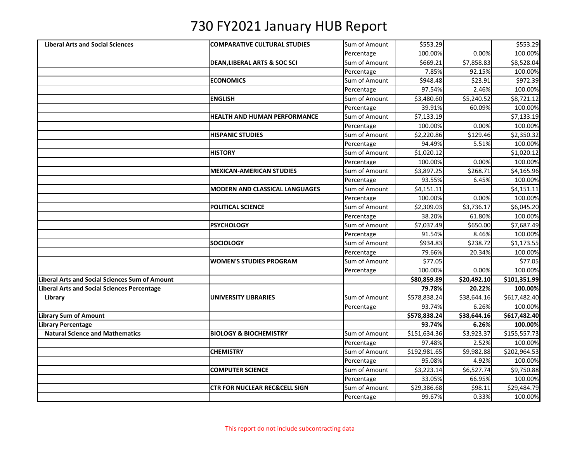| <b>Liberal Arts and Social Sciences</b>        | <b>COMPARATIVE CULTURAL STUDIES</b>      | Sum of Amount | \$553.29     |             | 5553.29      |
|------------------------------------------------|------------------------------------------|---------------|--------------|-------------|--------------|
|                                                |                                          | Percentage    | 100.00%      | 0.00%       | 100.00%      |
|                                                | <b>DEAN, LIBERAL ARTS &amp; SOC SCI</b>  | Sum of Amount | \$669.21     | \$7,858.83  | \$8,528.04   |
|                                                |                                          | Percentage    | 7.85%        | 92.15%      | 100.00%      |
|                                                | <b>ECONOMICS</b>                         | Sum of Amount | \$948.48     | \$23.91     | \$972.39     |
|                                                |                                          | Percentage    | 97.54%       | 2.46%       | 100.00%      |
|                                                | <b>ENGLISH</b>                           | Sum of Amount | \$3,480.60   | \$5,240.52  | \$8,721.12   |
|                                                |                                          | Percentage    | 39.91%       | 60.09%      | 100.00%      |
|                                                | HEALTH AND HUMAN PERFORMANCE             | Sum of Amount | \$7,133.19   |             | \$7,133.19   |
|                                                |                                          | Percentage    | 100.00%      | 0.00%       | 100.00%      |
|                                                | <b>HISPANIC STUDIES</b>                  | Sum of Amount | \$2,220.86   | \$129.46    | \$2,350.32   |
|                                                |                                          | Percentage    | 94.49%       | 5.51%       | 100.00%      |
|                                                | <b>HISTORY</b>                           | Sum of Amount | \$1,020.12   |             | \$1,020.12   |
|                                                |                                          | Percentage    | 100.00%      | 0.00%       | 100.00%      |
|                                                | <b>MEXICAN-AMERICAN STUDIES</b>          | Sum of Amount | \$3,897.25   | \$268.71    | \$4,165.96   |
|                                                |                                          | Percentage    | 93.55%       | 6.45%       | 100.00%      |
|                                                | <b>MODERN AND CLASSICAL LANGUAGES</b>    | Sum of Amount | \$4,151.11   |             | \$4,151.11   |
|                                                |                                          | Percentage    | 100.00%      | 0.00%       | 100.00%      |
|                                                | POLITICAL SCIENCE                        | Sum of Amount | \$2,309.03   | \$3,736.17  | \$6,045.20   |
|                                                |                                          | Percentage    | 38.20%       | 61.80%      | 100.00%      |
|                                                | <b>PSYCHOLOGY</b>                        | Sum of Amount | \$7,037.49   | \$650.00    | \$7,687.49   |
|                                                |                                          | Percentage    | 91.54%       | 8.46%       | 100.00%      |
|                                                | <b>SOCIOLOGY</b>                         | Sum of Amount | \$934.83     | \$238.72    | \$1,173.55   |
|                                                |                                          | Percentage    | 79.66%       | 20.34%      | 100.00%      |
|                                                | <b>WOMEN'S STUDIES PROGRAM</b>           | Sum of Amount | \$77.05      |             | \$77.05      |
|                                                |                                          | Percentage    | 100.00%      | 0.00%       | 100.00%      |
| Liberal Arts and Social Sciences Sum of Amount |                                          |               | \$80,859.89  | \$20,492.10 | \$101,351.99 |
| Liberal Arts and Social Sciences Percentage    |                                          |               | 79.78%       | 20.22%      | 100.00%      |
| Library                                        | <b>UNIVERSITY LIBRARIES</b>              | Sum of Amount | \$578,838.24 | \$38,644.16 | \$617,482.40 |
|                                                |                                          | Percentage    | 93.74%       | 6.26%       | 100.00%      |
| Library Sum of Amount                          |                                          |               | \$578,838.24 | \$38,644.16 | \$617,482.40 |
| Library Percentage                             |                                          |               | 93.74%       | 6.26%       | 100.00%      |
| <b>Natural Science and Mathematics</b>         | <b>BIOLOGY &amp; BIOCHEMISTRY</b>        | Sum of Amount | \$151,634.36 | \$3,923.37  | \$155,557.73 |
|                                                |                                          | Percentage    | 97.48%       | 2.52%       | 100.00%      |
|                                                | <b>CHEMISTRY</b>                         | Sum of Amount | \$192,981.65 | \$9,982.88  | \$202,964.53 |
|                                                |                                          | Percentage    | 95.08%       | 4.92%       | 100.00%      |
|                                                | <b>COMPUTER SCIENCE</b>                  | Sum of Amount | \$3,223.14   | \$6,527.74  | \$9,750.88   |
|                                                |                                          | Percentage    | 33.05%       | 66.95%      | 100.00%      |
|                                                | <b>CTR FOR NUCLEAR REC&amp;CELL SIGN</b> | Sum of Amount | \$29,386.68  | \$98.11     | \$29,484.79  |
|                                                |                                          | Percentage    | 99.67%       | 0.33%       | 100.00%      |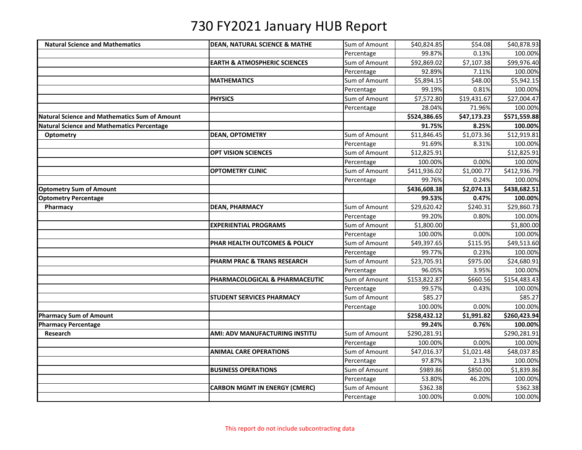| <b>Natural Science and Mathematics</b>        | <b>DEAN, NATURAL SCIENCE &amp; MATHE</b> | Sum of Amount | \$40,824.85  | \$54.08     | \$40,878.93  |
|-----------------------------------------------|------------------------------------------|---------------|--------------|-------------|--------------|
|                                               |                                          | Percentage    | 99.87%       | 0.13%       | 100.00%      |
|                                               | <b>EARTH &amp; ATMOSPHERIC SCIENCES</b>  | Sum of Amount | \$92,869.02  | \$7,107.38  | \$99,976.40  |
|                                               |                                          | Percentage    | 92.89%       | 7.11%       | 100.00%      |
|                                               | <b>MATHEMATICS</b>                       | Sum of Amount | \$5,894.15   | \$48.00     | \$5,942.15   |
|                                               |                                          | Percentage    | 99.19%       | 0.81%       | 100.00%      |
|                                               | <b>PHYSICS</b>                           | Sum of Amount | \$7,572.80   | \$19,431.67 | \$27,004.47  |
|                                               |                                          | Percentage    | 28.04%       | 71.96%      | 100.00%      |
| Natural Science and Mathematics Sum of Amount |                                          |               | \$524,386.65 | \$47,173.23 | \$571,559.88 |
| Natural Science and Mathematics Percentage    |                                          |               | 91.75%       | 8.25%       | 100.00%      |
| <b>Optometry</b>                              | <b>DEAN, OPTOMETRY</b>                   | Sum of Amount | \$11,846.45  | \$1,073.36  | \$12,919.81  |
|                                               |                                          | Percentage    | 91.69%       | 8.31%       | 100.00%      |
|                                               | <b>OPT VISION SCIENCES</b>               | Sum of Amount | \$12,825.91  |             | \$12,825.91  |
|                                               |                                          | Percentage    | 100.00%      | 0.00%       | 100.00%      |
|                                               | <b>OPTOMETRY CLINIC</b>                  | Sum of Amount | \$411,936.02 | \$1,000.77  | \$412,936.79 |
|                                               |                                          | Percentage    | 99.76%       | 0.24%       | 100.00%      |
| <b>Optometry Sum of Amount</b>                |                                          |               | \$436,608.38 | \$2,074.13  | \$438,682.51 |
| <b>Optometry Percentage</b>                   |                                          |               | 99.53%       | 0.47%       | 100.00%      |
| Pharmacy                                      | <b>DEAN, PHARMACY</b>                    | Sum of Amount | \$29,620.42  | \$240.31    | \$29,860.73  |
|                                               |                                          | Percentage    | 99.20%       | 0.80%       | 100.00%      |
|                                               | <b>EXPERIENTIAL PROGRAMS</b>             | Sum of Amount | \$1,800.00   |             | \$1,800.00   |
|                                               |                                          | Percentage    | 100.00%      | 0.00%       | 100.00%      |
|                                               | PHAR HEALTH OUTCOMES & POLICY            | Sum of Amount | \$49,397.65  | \$115.95    | \$49,513.60  |
|                                               |                                          | Percentage    | 99.77%       | 0.23%       | 100.00%      |
|                                               | PHARM PRAC & TRANS RESEARCH              | Sum of Amount | \$23,705.91  | \$975.00    | \$24,680.91  |
|                                               |                                          | Percentage    | 96.05%       | 3.95%       | 100.00%      |
|                                               | PHARMACOLOGICAL & PHARMACEUTIC           | Sum of Amount | \$153,822.87 | \$660.56    | \$154,483.43 |
|                                               |                                          | Percentage    | 99.57%       | 0.43%       | 100.00%      |
|                                               | <b>STUDENT SERVICES PHARMACY</b>         | Sum of Amount | \$85.27      |             | \$85.27      |
|                                               |                                          | Percentage    | 100.00%      | 0.00%       | 100.00%      |
| <b>Pharmacy Sum of Amount</b>                 |                                          |               | \$258,432.12 | \$1,991.82  | \$260,423.94 |
| <b>Pharmacy Percentage</b>                    |                                          |               | 99.24%       | 0.76%       | 100.00%      |
| Research                                      | AMI: ADV MANUFACTURING INSTITU           | Sum of Amount | \$290,281.91 |             | \$290,281.91 |
|                                               |                                          | Percentage    | 100.00%      | 0.00%       | 100.00%      |
|                                               | <b>ANIMAL CARE OPERATIONS</b>            | Sum of Amount | \$47,016.37  | \$1,021.48  | \$48,037.85  |
|                                               |                                          | Percentage    | 97.87%       | 2.13%       | 100.00%      |
|                                               | <b>BUSINESS OPERATIONS</b>               | Sum of Amount | \$989.86     | \$850.00    | \$1,839.86   |
|                                               |                                          | Percentage    | 53.80%       | 46.20%      | 100.00%      |
|                                               | <b>CARBON MGMT IN ENERGY (CMERC)</b>     | Sum of Amount | \$362.38     |             | \$362.38     |
|                                               |                                          | Percentage    | 100.00%      | 0.00%       | 100.00%      |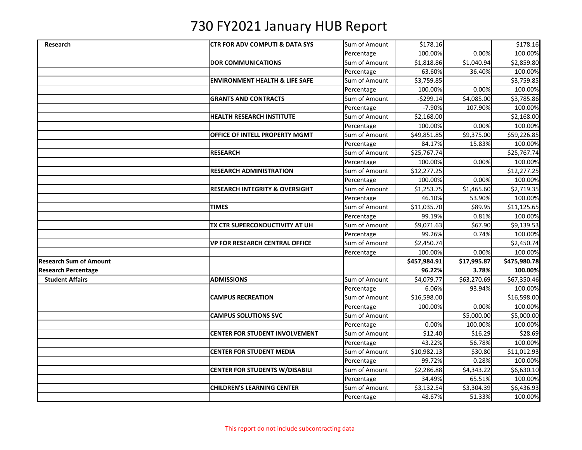| Research                      | <b>CTR FOR ADV COMPUTI &amp; DATA SYS</b> | Sum of Amount | \$178.16     |             | \$178.16     |
|-------------------------------|-------------------------------------------|---------------|--------------|-------------|--------------|
|                               |                                           | Percentage    | 100.00%      | 0.00%       | 100.00%      |
|                               | <b>DOR COMMUNICATIONS</b>                 | Sum of Amount | \$1,818.86   | \$1,040.94  | \$2,859.80   |
|                               |                                           | Percentage    | 63.60%       | 36.40%      | 100.00%      |
|                               | <b>ENVIRONMENT HEALTH &amp; LIFE SAFE</b> | Sum of Amount | \$3,759.85   |             | \$3,759.85   |
|                               |                                           | Percentage    | 100.00%      | 0.00%       | 100.00%      |
|                               | <b>GRANTS AND CONTRACTS</b>               | Sum of Amount | $-5299.14$   | \$4,085.00  | \$3,785.86   |
|                               |                                           | Percentage    | $-7.90%$     | 107.90%     | 100.00%      |
|                               | <b>HEALTH RESEARCH INSTITUTE</b>          | Sum of Amount | \$2,168.00   |             | \$2,168.00   |
|                               |                                           | Percentage    | 100.00%      | 0.00%       | 100.00%      |
|                               | OFFICE OF INTELL PROPERTY MGMT            | Sum of Amount | \$49,851.85  | \$9,375.00  | \$59,226.85  |
|                               |                                           | Percentage    | 84.17%       | 15.83%      | 100.00%      |
|                               | <b>RESEARCH</b>                           | Sum of Amount | \$25,767.74  |             | \$25,767.74  |
|                               |                                           | Percentage    | 100.00%      | 0.00%       | 100.00%      |
|                               | <b>RESEARCH ADMINISTRATION</b>            | Sum of Amount | \$12,277.25  |             | \$12,277.25  |
|                               |                                           | Percentage    | 100.00%      | 0.00%       | 100.00%      |
|                               | <b>RESEARCH INTEGRITY &amp; OVERSIGHT</b> | Sum of Amount | \$1,253.75   | \$1,465.60  | \$2,719.35   |
|                               |                                           | Percentage    | 46.10%       | 53.90%      | 100.00%      |
|                               | <b>TIMES</b>                              | Sum of Amount | \$11,035.70  | \$89.95     | \$11,125.65  |
|                               |                                           | Percentage    | 99.19%       | 0.81%       | 100.00%      |
|                               | TX CTR SUPERCONDUCTIVITY AT UH            | Sum of Amount | \$9,071.63   | \$67.90     | \$9,139.53   |
|                               |                                           | Percentage    | 99.26%       | 0.74%       | 100.00%      |
|                               | <b>VP FOR RESEARCH CENTRAL OFFICE</b>     | Sum of Amount | \$2,450.74   |             | \$2,450.74   |
|                               |                                           | Percentage    | 100.00%      | 0.00%       | 100.00%      |
| <b>Research Sum of Amount</b> |                                           |               | \$457,984.91 | \$17,995.87 | \$475,980.78 |
| <b>Research Percentage</b>    |                                           |               | 96.22%       | 3.78%       | 100.00%      |
| <b>Student Affairs</b>        | <b>ADMISSIONS</b>                         | Sum of Amount | \$4,079.77   | \$63,270.69 | \$67,350.46  |
|                               |                                           | Percentage    | 6.06%        | 93.94%      | 100.00%      |
|                               | <b>CAMPUS RECREATION</b>                  | Sum of Amount | \$16,598.00  |             | \$16,598.00  |
|                               |                                           | Percentage    | 100.00%      | 0.00%       | 100.00%      |
|                               | <b>CAMPUS SOLUTIONS SVC</b>               | Sum of Amount |              | \$5,000.00  | \$5,000.00   |
|                               |                                           | Percentage    | 0.00%        | 100.00%     | 100.00%      |
|                               | <b>CENTER FOR STUDENT INVOLVEMENT</b>     | Sum of Amount | \$12.40      | \$16.29     | \$28.69      |
|                               |                                           | Percentage    | 43.22%       | 56.78%      | 100.00%      |
|                               | <b>CENTER FOR STUDENT MEDIA</b>           | Sum of Amount | \$10,982.13  | \$30.80     | \$11,012.93  |
|                               |                                           | Percentage    | 99.72%       | 0.28%       | 100.00%      |
|                               | <b>CENTER FOR STUDENTS W/DISABILI</b>     | Sum of Amount | \$2,286.88   | \$4,343.22  | \$6,630.10   |
|                               |                                           | Percentage    | 34.49%       | 65.51%      | 100.00%      |
|                               | <b>CHILDREN'S LEARNING CENTER</b>         | Sum of Amount | \$3,132.54   | \$3,304.39  | \$6,436.93   |
|                               |                                           | Percentage    | 48.67%       | 51.33%      | 100.00%      |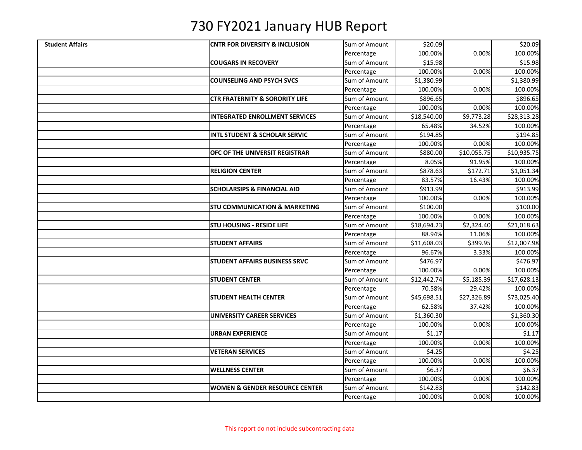| <b>Student Affairs</b> | <b>CNTR FOR DIVERSITY &amp; INCLUSION</b> | Sum of Amount | \$20.09     |             | \$20.09     |
|------------------------|-------------------------------------------|---------------|-------------|-------------|-------------|
|                        |                                           | Percentage    | 100.00%     | 0.00%       | 100.00%     |
|                        | <b>COUGARS IN RECOVERY</b>                | Sum of Amount | \$15.98     |             | \$15.98     |
|                        |                                           | Percentage    | 100.00%     | 0.00%       | 100.00%     |
|                        | <b>COUNSELING AND PSYCH SVCS</b>          | Sum of Amount | \$1,380.99  |             | \$1,380.99  |
|                        |                                           | Percentage    | 100.00%     | 0.00%       | 100.00%     |
|                        | <b>CTR FRATERNITY &amp; SORORITY LIFE</b> | Sum of Amount | \$896.65    |             | \$896.65    |
|                        |                                           | Percentage    | 100.00%     | 0.00%       | 100.00%     |
|                        | <b>INTEGRATED ENROLLMENT SERVICES</b>     | Sum of Amount | \$18,540.00 | \$9,773.28  | \$28,313.28 |
|                        |                                           | Percentage    | 65.48%      | 34.52%      | 100.00%     |
|                        | INTL STUDENT & SCHOLAR SERVIC             | Sum of Amount | \$194.85    |             | \$194.85    |
|                        |                                           | Percentage    | 100.00%     | 0.00%       | 100.00%     |
|                        | OFC OF THE UNIVERSIT REGISTRAR            | Sum of Amount | \$880.00    | \$10,055.75 | \$10,935.75 |
|                        |                                           | Percentage    | 8.05%       | 91.95%      | 100.00%     |
|                        | <b>RELIGION CENTER</b>                    | Sum of Amount | \$878.63    | \$172.71    | \$1,051.34  |
|                        |                                           | Percentage    | 83.57%      | 16.43%      | 100.00%     |
|                        | <b>SCHOLARSIPS &amp; FINANCIAL AID</b>    | Sum of Amount | \$913.99    |             | \$913.99    |
|                        |                                           | Percentage    | 100.00%     | 0.00%       | 100.00%     |
|                        | <b>STU COMMUNICATION &amp; MARKETING</b>  | Sum of Amount | \$100.00    |             | \$100.00    |
|                        |                                           | Percentage    | 100.00%     | 0.00%       | 100.00%     |
|                        | <b>STU HOUSING - RESIDE LIFE</b>          | Sum of Amount | \$18,694.23 | \$2,324.40  | \$21,018.63 |
|                        |                                           | Percentage    | 88.94%      | 11.06%      | 100.00%     |
|                        | <b>STUDENT AFFAIRS</b>                    | Sum of Amount | \$11,608.03 | \$399.95    | \$12,007.98 |
|                        |                                           | Percentage    | 96.67%      | 3.33%       | 100.00%     |
|                        | <b>STUDENT AFFAIRS BUSINESS SRVC</b>      | Sum of Amount | \$476.97    |             | \$476.97    |
|                        |                                           | Percentage    | 100.00%     | 0.00%       | 100.00%     |
|                        | <b>STUDENT CENTER</b>                     | Sum of Amount | \$12,442.74 | \$5,185.39  | \$17,628.13 |
|                        |                                           | Percentage    | 70.58%      | 29.42%      | 100.00%     |
|                        | <b>STUDENT HEALTH CENTER</b>              | Sum of Amount | \$45,698.51 | \$27,326.89 | \$73,025.40 |
|                        |                                           | Percentage    | 62.58%      | 37.42%      | 100.00%     |
|                        | <b>UNIVERSITY CAREER SERVICES</b>         | Sum of Amount | \$1,360.30  |             | \$1,360.30  |
|                        |                                           | Percentage    | 100.00%     | 0.00%       | 100.00%     |
|                        | <b>URBAN EXPERIENCE</b>                   | Sum of Amount | \$1.17      |             | \$1.17      |
|                        |                                           | Percentage    | 100.00%     | 0.00%       | 100.00%     |
|                        | <b>VETERAN SERVICES</b>                   | Sum of Amount | \$4.25      |             | \$4.25      |
|                        |                                           | Percentage    | 100.00%     | 0.00%       | 100.00%     |
|                        | <b>WELLNESS CENTER</b>                    | Sum of Amount | \$6.37      |             | \$6.37      |
|                        |                                           | Percentage    | 100.00%     | 0.00%       | 100.00%     |
|                        | <b>WOMEN &amp; GENDER RESOURCE CENTER</b> | Sum of Amount | \$142.83    |             | \$142.83    |
|                        |                                           | Percentage    | 100.00%     | 0.00%       | 100.00%     |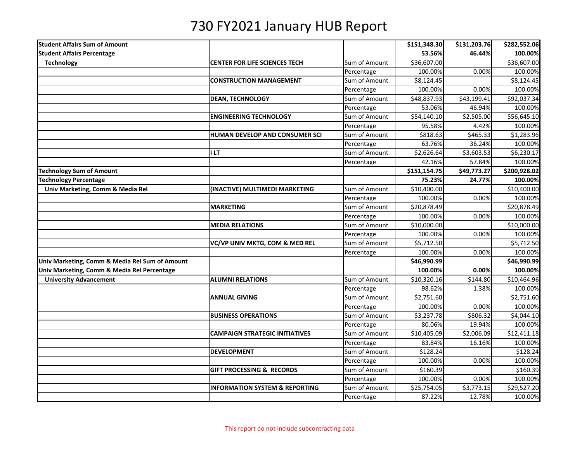| <b>Student Affairs Sum of Amount</b>           |                                           |               | \$151,348.30 | \$131,203.76 | \$282,552.06           |
|------------------------------------------------|-------------------------------------------|---------------|--------------|--------------|------------------------|
| <b>Student Affairs Percentage</b>              |                                           |               | 53.56%       | 46.44%       | 100.00%                |
| <b>Technology</b>                              | <b>CENTER FOR LIFE SCIENCES TECH</b>      | Sum of Amount | \$36,607.00  |              | \$36,607.00            |
|                                                |                                           | Percentage    | 100.00%      | 0.00%        | 100.00%                |
|                                                | <b>CONSTRUCTION MANAGEMENT</b>            | Sum of Amount | \$8,124.45   |              | \$8,124.45             |
|                                                |                                           | Percentage    | 100.00%      | 0.00%        | 100.00%                |
|                                                | <b>DEAN, TECHNOLOGY</b>                   | Sum of Amount | \$48,837.93  | \$43,199.41  | \$92,037.34            |
|                                                |                                           | Percentage    | 53.06%       | 46.94%       | 100.00%                |
|                                                | <b>ENGINEERING TECHNOLOGY</b>             | Sum of Amount | \$54,140.10  | \$2,505.00   | \$56,645.10            |
|                                                |                                           | Percentage    | 95.58%       | 4.42%        | 100.00%                |
|                                                | HUMAN DEVELOP AND CONSUMER SCI            | Sum of Amount | \$818.63     | \$465.33     | \$1,283.96             |
|                                                |                                           | Percentage    | 63.76%       | 36.24%       | 100.00%                |
|                                                | I LT                                      | Sum of Amount | \$2,626.64   | \$3,603.53   | \$6,230.17             |
|                                                |                                           | Percentage    | 42.16%       | 57.84%       | 100.00%                |
| <b>Technology Sum of Amount</b>                |                                           |               | \$151,154.75 | \$49,773.27  | \$200,928.02           |
| <b>Technology Percentage</b>                   |                                           |               | 75.23%       | 24.77%       | 100.00%                |
| Univ Marketing, Comm & Media Rel               | (INACTIVE) MULTIMEDI MARKETING            | Sum of Amount | \$10,400.00  |              | \$10,400.00            |
|                                                |                                           | Percentage    | 100.00%      | 0.00%        | 100.00%                |
|                                                | <b>MARKETING</b>                          | Sum of Amount | \$20,878.49  |              | \$20,878.49            |
|                                                |                                           | Percentage    | 100.00%      | 0.00%        | 100.00%                |
|                                                | <b>MEDIA RELATIONS</b>                    | Sum of Amount | \$10,000.00  |              | \$10,000.00            |
|                                                |                                           | Percentage    | 100.00%      | 0.00%        | 100.00%                |
|                                                | VC/VP UNIV MKTG, COM & MED REL            | Sum of Amount | \$5,712.50   |              | \$5,712.50             |
|                                                |                                           | Percentage    | 100.00%      | 0.00%        | 100.00%                |
| Univ Marketing, Comm & Media Rel Sum of Amount |                                           |               | \$46,990.99  |              | \$46,990.99            |
| Univ Marketing, Comm & Media Rel Percentage    |                                           |               | 100.00%      | 0.00%        | 100.00%                |
| <b>University Advancement</b>                  | <b>ALUMNI RELATIONS</b>                   | Sum of Amount | \$10,320.16  | \$144.80     | \$10,464.96            |
|                                                |                                           | Percentage    | 98.62%       | 1.38%        | 100.00%                |
|                                                | <b>ANNUAL GIVING</b>                      | Sum of Amount | \$2,751.60   |              | \$2,751.60             |
|                                                |                                           | Percentage    | 100.00%      | 0.00%        | 100.00%                |
|                                                | <b>BUSINESS OPERATIONS</b>                | Sum of Amount | \$3,237.78   | \$806.32     | $$4,044.\overline{10}$ |
|                                                |                                           | Percentage    | 80.06%       | 19.94%       | 100.00%                |
|                                                | <b>CAMPAIGN STRATEGIC INITIATIVES</b>     | Sum of Amount | \$10,405.09  | \$2,006.09   | \$12,411.18            |
|                                                |                                           | Percentage    | 83.84%       | 16.16%       | 100.00%                |
|                                                | <b>DEVELOPMENT</b>                        | Sum of Amount | \$128.24     |              | \$128.24               |
|                                                |                                           | Percentage    | 100.00%      | 0.00%        | 100.00%                |
|                                                | <b>GIFT PROCESSING &amp; RECORDS</b>      | Sum of Amount | \$160.39     |              | \$160.39               |
|                                                |                                           | Percentage    | 100.00%      | 0.00%        | 100.00%                |
|                                                | <b>INFORMATION SYSTEM &amp; REPORTING</b> | Sum of Amount | \$25,754.05  | \$3,773.15   | \$29,527.20            |
|                                                |                                           | Percentage    | 87.22%       | 12.78%       | 100.00%                |